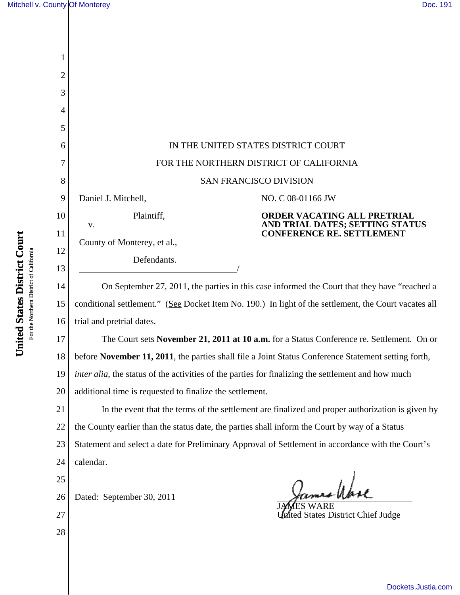| 1  |                                                                                                       |                                                                                                     |  |  |
|----|-------------------------------------------------------------------------------------------------------|-----------------------------------------------------------------------------------------------------|--|--|
| 2  |                                                                                                       |                                                                                                     |  |  |
| 3  |                                                                                                       |                                                                                                     |  |  |
| 4  |                                                                                                       |                                                                                                     |  |  |
| 5  |                                                                                                       |                                                                                                     |  |  |
| 6  | IN THE UNITED STATES DISTRICT COURT                                                                   |                                                                                                     |  |  |
| 7  | FOR THE NORTHERN DISTRICT OF CALIFORNIA                                                               |                                                                                                     |  |  |
| 8  | SAN FRANCISCO DIVISION                                                                                |                                                                                                     |  |  |
| 9  | Daniel J. Mitchell,                                                                                   | NO. C 08-01166 JW                                                                                   |  |  |
| 10 | Plaintiff,<br>V.                                                                                      | ORDER VACATING ALL PRETRIAL<br>AND TRIAL DATES; SETTING STATUS                                      |  |  |
| 11 | County of Monterey, et al.,                                                                           | <b>CONFERENCE RE. SETTLEMENT</b>                                                                    |  |  |
| 12 |                                                                                                       |                                                                                                     |  |  |
| 13 | Defendants.                                                                                           |                                                                                                     |  |  |
| 14 | On September 27, 2011, the parties in this case informed the Court that they have "reached a          |                                                                                                     |  |  |
| 15 | conditional settlement." (See Docket Item No. 190.) In light of the settlement, the Court vacates all |                                                                                                     |  |  |
| 16 | trial and pretrial dates.                                                                             |                                                                                                     |  |  |
| 17 | The Court sets November 21, 2011 at 10 a.m. for a Status Conference re. Settlement. On or             |                                                                                                     |  |  |
| 18 |                                                                                                       | before November 11, 2011, the parties shall file a Joint Status Conference Statement setting forth, |  |  |
| 19 | inter alia, the status of the activities of the parties for finalizing the settlement and how much    |                                                                                                     |  |  |
| 20 | additional time is requested to finalize the settlement.                                              |                                                                                                     |  |  |
| 21 | In the event that the terms of the settlement are finalized and proper authorization is given by      |                                                                                                     |  |  |
| 22 | the County earlier than the status date, the parties shall inform the Court by way of a Status        |                                                                                                     |  |  |
| 23 | Statement and select a date for Preliminary Approval of Settlement in accordance with the Court's     |                                                                                                     |  |  |
| 24 | calendar.                                                                                             |                                                                                                     |  |  |
| 25 |                                                                                                       |                                                                                                     |  |  |
| 26 | Dated: September 30, 2011                                                                             | ames Wase                                                                                           |  |  |
| 27 |                                                                                                       | <b>United States District Chief Judge</b>                                                           |  |  |
| 28 |                                                                                                       |                                                                                                     |  |  |
|    |                                                                                                       |                                                                                                     |  |  |

United States District Court **United States District Court** For the Northern District of California For the Northern District of California

[Dockets.Justia.com](http://dockets.justia.com/)